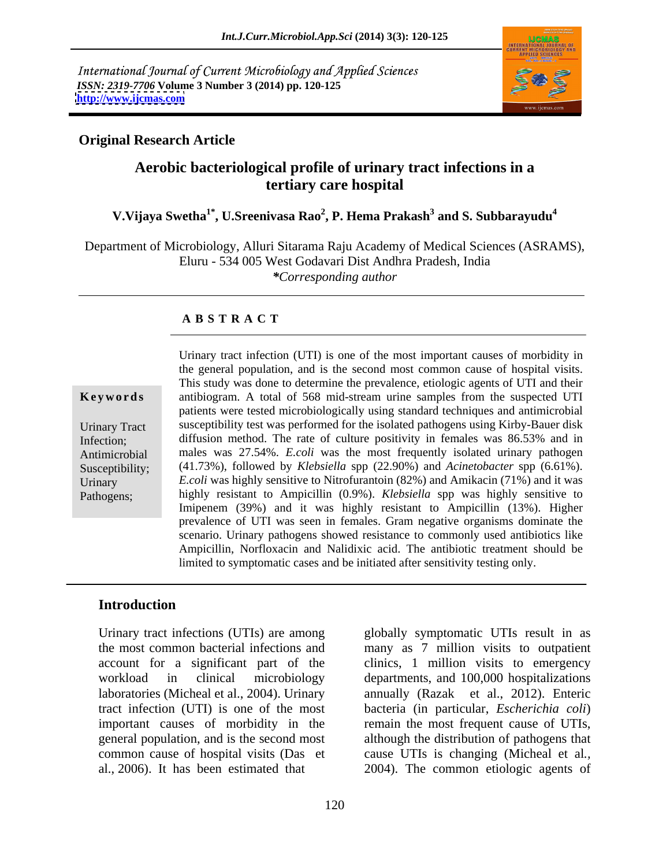International Journal of Current Microbiology and Applied Sciences *ISSN: 2319-7706* **Volume 3 Number 3 (2014) pp. 120-125 <http://www.ijcmas.com>**



# **Original Research Article**

# **Aerobic bacteriological profile of urinary tract infections in a tertiary care hospital**

#### **V.Vijaya Swetha1\* , U.Sreenivasa Rao<sup>2</sup> , P. Hema Prakash<sup>3</sup> and S. Subbarayudu<sup>4</sup>**

Department of Microbiology, Alluri Sitarama Raju Academy of Medical Sciences (ASRAMS), Eluru - 534 005 West Godavari Dist Andhra Pradesh, India *\*Corresponding author* 

# **A B S T R A C T**

**Keywords** antibiogram. A total of 568 mid-stream urine samples from the suspected UTI Urinary Tract susceptibility test was performed for the isolated pathogens using Kirby-Bauer disk Infection; diffusion method. The rate of culture positivity in females was 86.53% and in Antimicrobial males was 27.54%. *E.coli* was the most frequently isolated urinary pathogen Susceptibility; (41.73%), followed by *Klebsiella* spp (22.90%) and *Acinetobacter* spp (6.61%). Urinary *E.coli* was highly sensitive to Nitrofurantoin (82%) and Amikacin (71%) and it was Pathogens; highly resistant to Ampicillin (0.9%). *Klebsiella* spp was highly sensitive to Urinary tract infection (UTI) is one of the most important causes of morbidity in the general population, and is the second most common cause of hospital visits. This study was done to determine the prevalence, etiologic agents of UTI and their patients were tested microbiologically using standard techniques and antimicrobial Imipenem (39%) and it was highly resistant to Ampicillin (13%). Higher prevalence of UTI was seen in females. Gram negative organisms dominate the scenario. Urinary pathogens showed resistance to commonly used antibiotics like Ampicillin, Norfloxacin and Nalidixic acid. The antibiotic treatment should be limited to symptomatic cases and be initiated after sensitivity testing only.

# **Introduction**

al., 2006). It has been estimated that 2004). The common etiologic agents of

Urinary tract infections (UTIs) are among globally symptomatic UTIs result in as the most common bacterial infections and many as 7 million visits to outpatient account for a significant part of the clinics, 1 million visits to emergency workload in clinical microbiology departments, and 100,000 hospitalizations laboratories (Micheal et al., 2004). Urinary annually (Razak et al., 2012). Enteric tract infection (UTI) is one of the most bacteria (in particular, *Escherichia coli*) important causes of morbidity in the remain the most frequent cause of UTIs, general population, and is the second most although the distribution of pathogens that common cause of hospital visits (Das et cause UTIs is changing (Micheal et al*.,*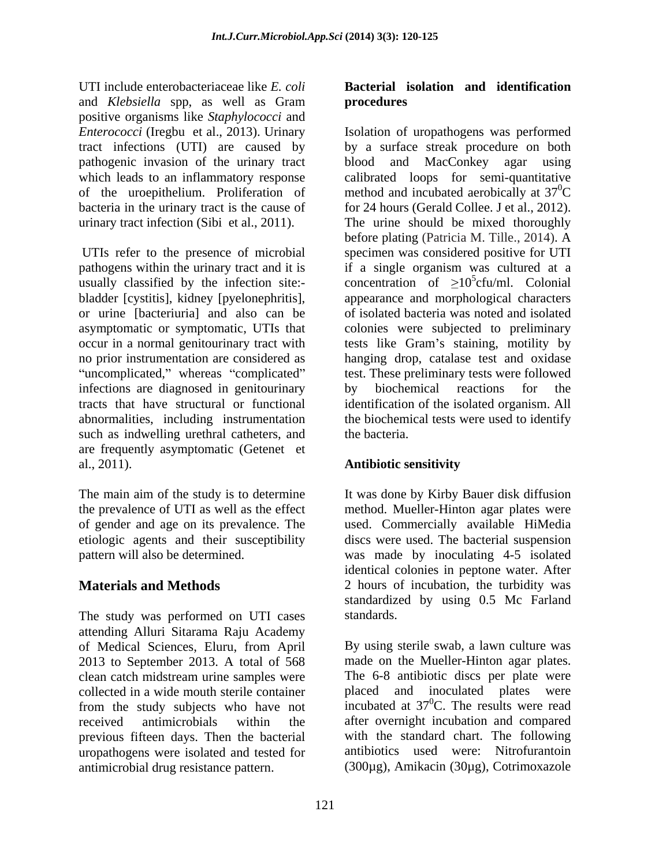UTI include enterobacteriaceae like *E. coli* and *Klebsiella* spp, as well as Gram positive organisms like *Staphylococci* and pathogenic invasion of the urinary tract blood and MacConkey agar using<br>which leads to an inflammatory response calibrated loops for semi-quantitative bacteria in the urinary tract is the cause of for 24 hours (Gerald Collee, J et al., 2012). urinary tract infection (Sibi et al., 2011). The urine should be mixed thoroughly

usually classified by the infection site: infections are diagnosed in genitourinary<br>tracts that have structural or functional identification of the isolated organism. All such as indwelling urethral catheters, and the bacteria. are frequently asymptomatic (Getenet et al., 2011). **Antibiotic sensitivity** 

The study was performed on UTI cases standards. attending Alluri Sitarama Raju Academy of Medical Sciences, Eluru, from April 2013 to September 2013. A total of 568 clean catch midstream urine samples were collected in a wide mouth sterile container previous fifteen days. Then the bacterial uropathogens were isolated and tested for antimicrobial drug resistance pattern. (300µg), Amikacin (30µg), Cotrimoxazole

# **Bacterial isolation and identification procedures**

*Enterococci* (Iregbu et al., 2013). Urinary Isolation of uropathogens was performed tract infections (UTI) are caused by by a surface streak procedure on both which leads to an inflammatory response calibrated loops for semi-quantitative of the uroepithelium. Proliferation of method and incubated aerobically at  $37^{\circ}$ C UTIs refer to the presence of microbial specimen was considered positive for UTI pathogens within the urinary tract and it is if a single organism was cultured at a bladder [cystitis], kidney [pyelonephritis], appearance and morphological characters or urine [bacteriuria] and also can be of isolated bacteria was noted and isolated asymptomatic or symptomatic, UTIs that colonies were subjected to preliminary occur in a normal genitourinary tract with tests like Gram's staining, motility by no prior instrumentation are considered as hanging drop, catalase test and oxidase uncomplicated," whereas "complicated" test. These preliminary tests were followed tracts that have structural or functional identification of the isolated organism. All abnormalities, including instrumentation the biochemical tests were used to identify blood and MacConkey agar using  ${}^{0}C$ for 24 hours (Gerald Collee. J et al., 2012). The urine should be mixed thoroughly before plating (Patricia M. Tille., 2014). A concentration of  $\geq 10^{\circ}$ cfu/ml. Colonial  $5_{\alpha \text{fu}}$   $\alpha$   $\alpha$   $\alpha$   $\alpha$   $\beta$ by biochemical reactions for the the bacteria.

# **Antibiotic sensitivity**

The main aim of the study is to determine It was done by Kirby Bauer disk diffusion the prevalence of UTI as well as the effect method. Mueller-Hinton agar plates were of gender and age on its prevalence. The used. Commercially available HiMedia etiologic agents and their susceptibility discs were used. The bacterial suspension pattern will also be determined. was made by inoculating 4-5 isolated **Materials and Methods** 2 hours of incubation, the turbidity was identical colonies in peptone water. After standardized by using 0.5 Mc Farland standards.

from the study subjects who have not incubated at 37<sup>o</sup>C. The results were read received antimicrobials within the after overnight incubation and compared By using sterile swab, a lawn culture was made on the Mueller-Hinton agar plates. The 6-8 antibiotic discs per plate were placed and inoculated plates were incubated at  $37^{\circ}$ C. The results were read  ${}^{0}C$ . The results were read with the standard chart. The following antibiotics used were: Nitrofurantoin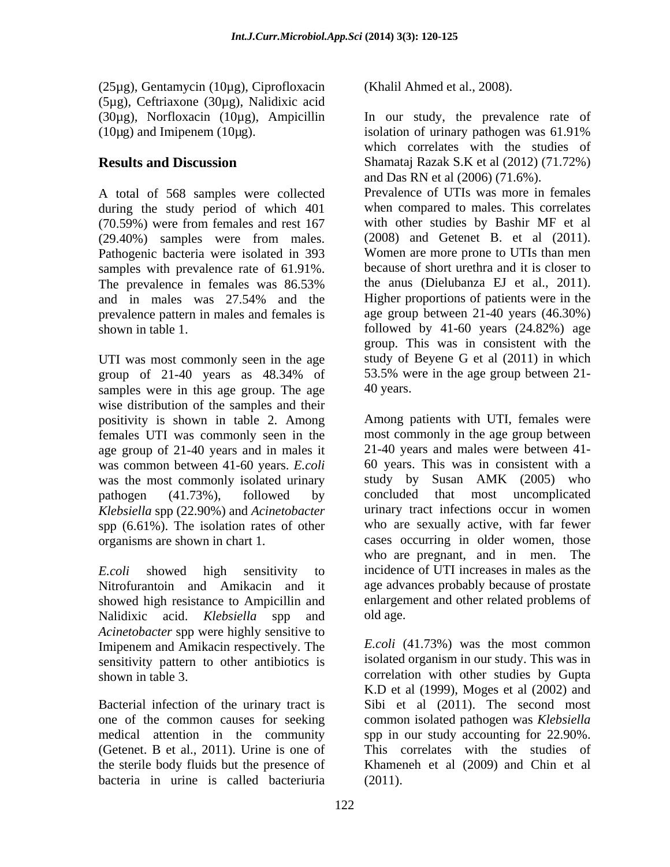(25µg), Gentamycin (10µg), Ciprofloxacin (5µg), Ceftriaxone (30µg), Nalidixic acid  $(10\mu g)$  and Imipenem  $(10\mu g)$ . isolation of urinary pathogen was 61.91%

A total of 568 samples were collected during the study period of which 401 samples with prevalence rate of 61.91%.

UTI was most commonly seen in the age samples were in this age group. The age 40 years. wise distribution of the samples and their positivity is shown in table 2. Among females UTI was commonly seen in the age group of 21-40 years and in males it was common between 41-60 years. *E.coli*  was the most commonly isolated urinary study by<br>
nathogen (41.73%). followed by concluded *Klebsiella* spp (22.90%) and *Acinetobacter* spp (6.61%). The isolation rates of other

Nitrofurantoin and Amikacin and it showed high resistance to Ampicillin and Nalidixic acid. *Klebsiella* spp and old age. *Acinetobacter* spp were highly sensitive to Imipenem and Amikacin respectively. The sensitivity pattern to other antibiotics is

(Getenet. B et al., 2011). Urine is one of bacteria in urine is called bacteriuria

(Khalil Ahmed et al., 2008).

(30µg), Norfloxacin (10µg), Ampicillin In our study, the prevalence rate of **Results and Discussion** Shamataj Razak S.K et al (2012) (71.72%) (70.59%) were from females and rest 167 with other studies by Bashir MF et al (29.40%) samples were from males. (2008) and Getenet B. et al (2011).<br>Pathogenic bacteria were isolated in 393 Women are more prone to UTIs than men The prevalence in females was 86.53% the anus (Dielubanza EJ et al., 2011). and in males was 27.54% and the Higher proportions of patients were in the prevalence pattern in males and females is age group between 21-40 years (46.30%) shown in table 1. followed by 41-60 years (24.82%) age group of 21-40 years as 48.34% of 53.5% were in the age group between 21isolation of urinary pathogen was 61.91% which correlates with the studies of and Das RN et al (2006) (71.6%). Prevalence of UTIs was more in females when compared to males. This correlates with other studies by Bashir MF et al (2008) and Getenet B. et al (2011). Women are more prone to UTIs than men because of short urethra and it is closer to the anus (Dielubanza EJ et al., 2011). Higher proportions of patients were in the group. This was in consistent with the study of Beyene G et al (2011) in which 53.5% were in the age group between 21- 40 years.

pathogen (41.73%), followed by organisms are shown in chart 1. cases occurring in older women, those *E.coli* showed high sensitivity to incidence of UTI increases in males as the Among patients with UTI, females were most commonly in the age group between 21-40 years and males were between 41- 60 years. This was in consistent with a study by Susan AMK (2005) who that most uncomplicated urinary tract infections occur in women who are sexually active, with far fewer who are pregnant, and in men. The age advances probably because of prostate enlargement and other related problems of old age.

shown in table 3. correlation with other studies by Gupta Bacterial infection of the urinary tract is Sibi et al (2011). The second most one of the common causes for seeking common isolated pathogen was *Klebsiella* medical attention in the community spp in our study accounting for 22.90%. the sterile body fluids but the presence of Khameneh et al (2009) and Chin et al *E.coli* (41.73%) was the most common isolated organism in our study. This was in K.D et al (1999), Moges et al (2002) and This correlates with the studies of (2011).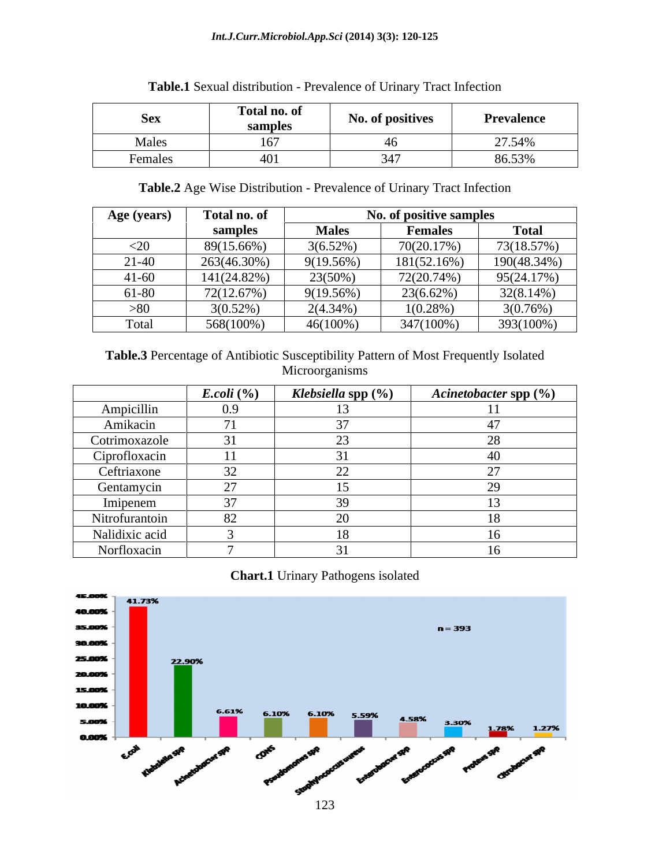#### *Int.J.Curr.Microbiol.App.Sci* **(2014) 3(3): 120-125**

| <b>SAV</b><br><b>DUA</b>             | Total no. of<br>sample. | No. of positives | Prevalence |
|--------------------------------------|-------------------------|------------------|------------|
| $M_0$ <sub>200</sub><br><b>TALCS</b> |                         |                  | 27.54%     |
| Females                              |                         |                  | 86.53%     |

# **Table.1** Sexual distribution - Prevalence of Urinary Tract Infection

**Table.2** Age Wise Distribution - Prevalence of Urinary Tract Infection

| Age (years) | Total no. of |              | No. of positive samples |              |
|-------------|--------------|--------------|-------------------------|--------------|
|             | samples      | <b>Males</b> | Females                 | <b>Total</b> |
| $<$ 20      | 89(15.66%)   | $3(6.52\%)$  | 70(20.17%)              | 73(18.57%)   |
| $21 - 40$   | 263(46.30%)  | 9(19.56%)    | 181(52.16%)             | 190(48.34%)  |
| $41 - 60$   | 141(24.82%)  | 23(50%)      | 72(20.74%)              | 95(24.17%)   |
| 61-80       | 72(12.67%)   | 9(19.56%)    | 23(6.62%)               | $32(8.14\%)$ |
| >80         | $3(0.52\%)$  | $2(4.34\%)$  | $(0.28\%)$              | $3(0.76\%)$  |
| Total       | 568(100%)    | $46(100\%)$  | 347(100%)               | 393(100%)    |

**Table.3** Percentage of Antibiotic Susceptibility Pattern of Most Frequently Isolated Microorganisms

|                | E. coli (%)                  | Klebsiella spp (%) | Acinetobacter spp (%) |
|----------------|------------------------------|--------------------|-----------------------|
| Ampicillin     | 0.9                          |                    |                       |
| Amikacin       | - -<br>71                    |                    |                       |
| Cotrimoxazole  | $\sim$ $\sim$<br>– 4 I<br>◡▴ |                    |                       |
| Ciprofloxacin  | 11                           |                    | 4                     |
| Ceftriaxone    | $\sim$ $\sim$<br>ے ر         |                    |                       |
| Gentamycin     | $\sim$                       |                    |                       |
| Imipenem       | 27                           |                    |                       |
| Nitrofurantoin | 82                           |                    |                       |
| Nalidixic acid |                              |                    |                       |
| Norfloxacin    |                              |                    |                       |

# **Chart.1** Urinary Pathogens isolated

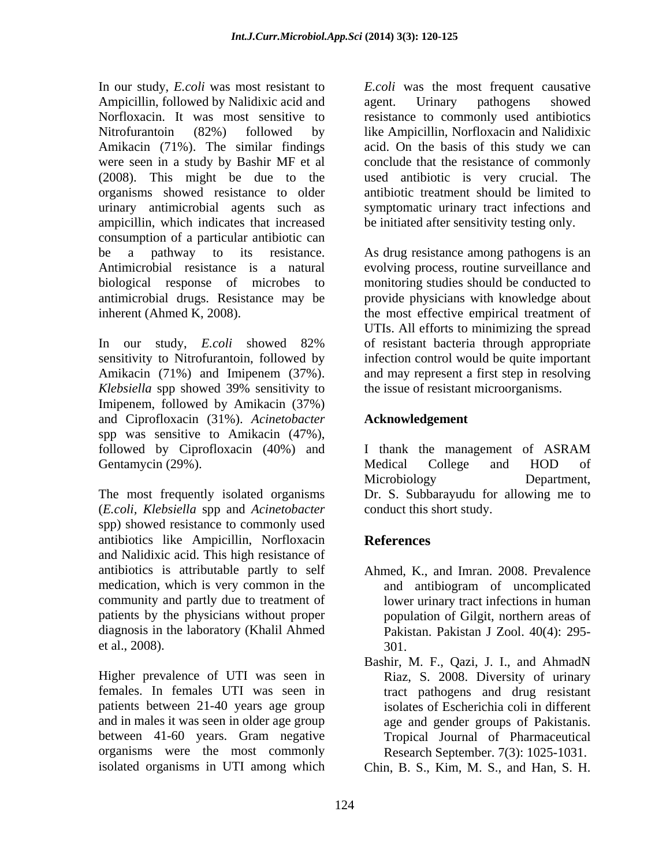In our study, *E.coli* was most resistant to *E.coli* was the most frequent causative Ampicillin, followed by Nalidixic acid and agent. Urinary pathogens showed Norfloxacin. It was most sensitive to resistance to commonly used antibiotics Nitrofurantoin (82%) followed by like Ampicillin, Norfloxacin and Nalidixic Amikacin (71%). The similar findings acid. On the basis of this study we can were seen in a study by Bashir MF et al conclude that the resistance of commonly (2008). This might be due to the used antibiotic is very crucial. The organisms showed resistance to older urinary antimicrobial agents such as symptomatic urinary tract infections and ampicillin, which indicates that increased consumption of a particular antibiotic can be a pathway to its resistance. As drug resistance among pathogens is an Antimicrobial resistance is a natural evolving process, routine surveillance and biological response of microbes to monitoring studies should be conducted to antimicrobial drugs. Resistance may be

Imipenem, followed by Amikacin (37%) and Ciprofloxacin (31%). *Acinetobacter* spp was sensitive to Amikacin (47%), followed by Ciprofloxacin (40%) and I thank the management of ASRAM Gentamycin (29%). Medical College and HOD of

The most frequently isolated organisms (*E.coli, Klebsiella* spp and *Acinetobacter* spp) showed resistance to commonly used antibiotics like Ampicillin, Norfloxacin and Nalidixic acid. This high resistance of antibiotics is attributable partly to self medication, which is very common in the and antibiogram of uncomplicated community and partly due to treatment of patients by the physicians without proper diagnosis in the laboratory (Khalil Ahmed et al., 2008).

Higher prevalence of UTI was seen in Riaz, S. 2008. Diversity of urinary females. In females UTI was seen in tract pathogens and drug resistant patients between 21-40 years age group and in males it was seen in older age group between 41-60 years. Gram negative Tropical Journal of Pharmaceutical organisms were the most commonly

agent. Urinary pathogens showed antibiotic treatment should be limited to be initiated after sensitivity testing only.

inherent (Ahmed K, 2008).<br>In our study, *E.coli* showed 82% UTIs. All efforts to minimizing the spread<br>In our study, *E.coli* showed 82% of resistant bacteria through appropriate sensitivity to Nitrofurantoin, followed by infection control would be quite important Amikacin (71%) and Imipenem (37%). and may represent a first step in resolving *Klebsiella* spp showed 39% sensitivity to provide physicians with knowledge about the most effective empirical treatment of UTIs. All efforts to minimizing the spread of resistant bacteria through appropriate the issue of resistant microorganisms.

# **Acknowledgement**

I thank the management of ASRAM Medical College and HOD of Microbiology Department, Dr. S. Subbarayudu for allowing me to conduct this short study.

# **References**

- Ahmed, K., and Imran. 2008. Prevalence and antibiogram of uncomplicated lower urinary tract infections in human population of Gilgit, northern areas of Pakistan. Pakistan J Zool. 40(4): 295- 301.
- Bashir, M. F., Qazi, J. I., and AhmadN isolates of Escherichia coli in different age and gender groups of Pakistanis. Research September. 7(3): 1025-1031.
- isolated organisms in UTI among which Chin, B. S., Kim, M. S., and Han, S. H.